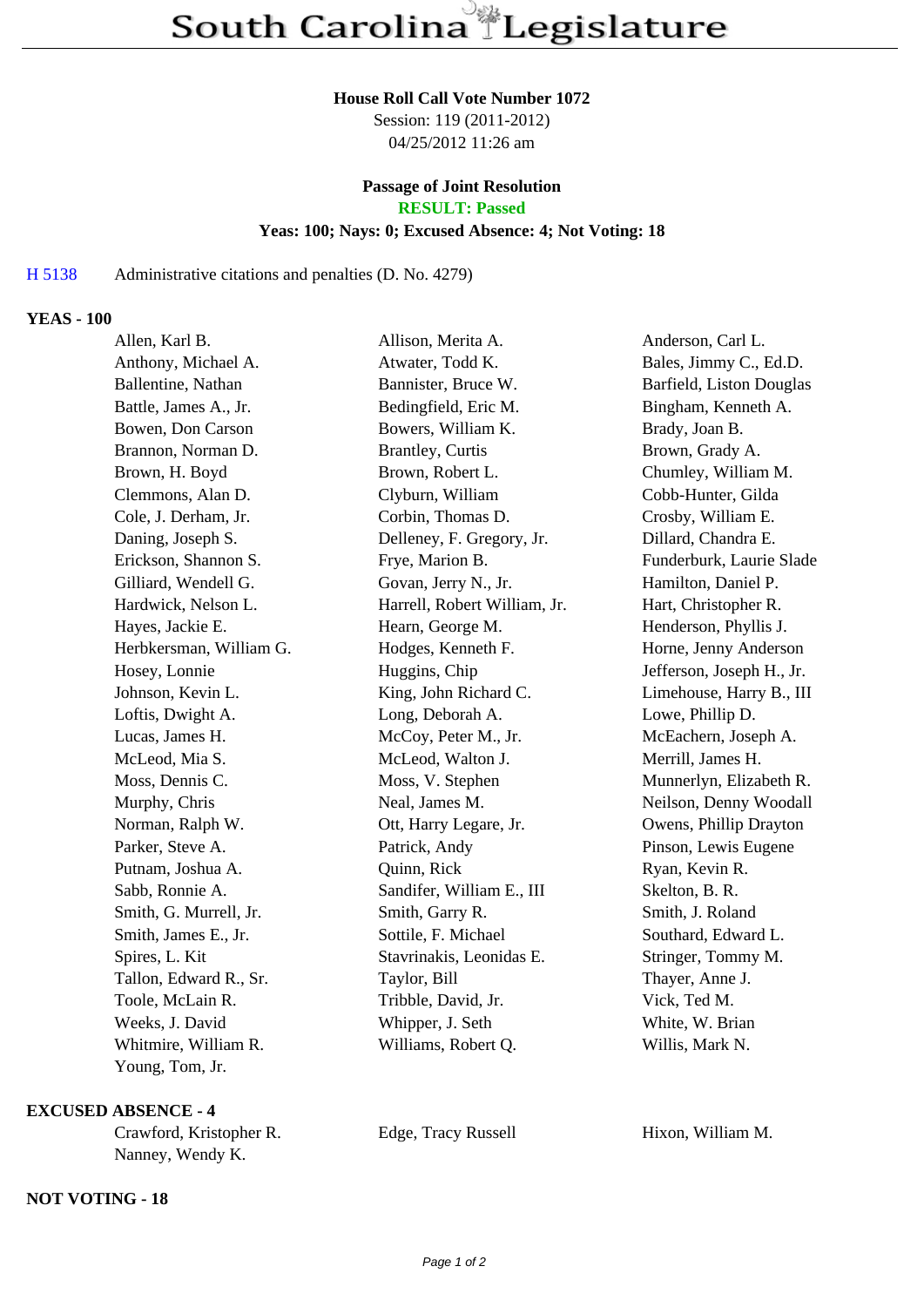#### **House Roll Call Vote Number 1072**

Session: 119 (2011-2012) 04/25/2012 11:26 am

# **Passage of Joint Resolution**

**RESULT: Passed**

#### **Yeas: 100; Nays: 0; Excused Absence: 4; Not Voting: 18**

## H 5138 Administrative citations and penalties (D. No. 4279)

### **YEAS - 100**

| Allen, Karl B.          | Allison, Merita A.           | Anderson, Carl L.         |
|-------------------------|------------------------------|---------------------------|
| Anthony, Michael A.     | Atwater, Todd K.             | Bales, Jimmy C., Ed.D.    |
| Ballentine, Nathan      | Bannister, Bruce W.          | Barfield, Liston Douglas  |
| Battle, James A., Jr.   | Bedingfield, Eric M.         | Bingham, Kenneth A.       |
| Bowen, Don Carson       | Bowers, William K.           | Brady, Joan B.            |
| Brannon, Norman D.      | <b>Brantley</b> , Curtis     | Brown, Grady A.           |
| Brown, H. Boyd          | Brown, Robert L.             | Chumley, William M.       |
| Clemmons, Alan D.       | Clyburn, William             | Cobb-Hunter, Gilda        |
| Cole, J. Derham, Jr.    | Corbin, Thomas D.            | Crosby, William E.        |
| Daning, Joseph S.       | Delleney, F. Gregory, Jr.    | Dillard, Chandra E.       |
| Erickson, Shannon S.    | Frye, Marion B.              | Funderburk, Laurie Slade  |
| Gilliard, Wendell G.    | Govan, Jerry N., Jr.         | Hamilton, Daniel P.       |
| Hardwick, Nelson L.     | Harrell, Robert William, Jr. | Hart, Christopher R.      |
| Hayes, Jackie E.        | Hearn, George M.             | Henderson, Phyllis J.     |
| Herbkersman, William G. | Hodges, Kenneth F.           | Horne, Jenny Anderson     |
| Hosey, Lonnie           | Huggins, Chip                | Jefferson, Joseph H., Jr. |
| Johnson, Kevin L.       | King, John Richard C.        | Limehouse, Harry B., III  |
| Loftis, Dwight A.       | Long, Deborah A.             | Lowe, Phillip D.          |
| Lucas, James H.         | McCoy, Peter M., Jr.         | McEachern, Joseph A.      |
| McLeod, Mia S.          | McLeod, Walton J.            | Merrill, James H.         |
| Moss, Dennis C.         | Moss, V. Stephen             | Munnerlyn, Elizabeth R.   |
| Murphy, Chris           | Neal, James M.               | Neilson, Denny Woodall    |
| Norman, Ralph W.        | Ott, Harry Legare, Jr.       | Owens, Phillip Drayton    |
| Parker, Steve A.        | Patrick, Andy                | Pinson, Lewis Eugene      |
| Putnam, Joshua A.       | Quinn, Rick                  | Ryan, Kevin R.            |
| Sabb, Ronnie A.         | Sandifer, William E., III    | Skelton, B. R.            |
| Smith, G. Murrell, Jr.  | Smith, Garry R.              | Smith, J. Roland          |
| Smith, James E., Jr.    | Sottile, F. Michael          | Southard, Edward L.       |
| Spires, L. Kit          | Stavrinakis, Leonidas E.     | Stringer, Tommy M.        |
| Tallon, Edward R., Sr.  | Taylor, Bill                 | Thayer, Anne J.           |
| Toole, McLain R.        | Tribble, David, Jr.          | Vick, Ted M.              |
| Weeks, J. David         | Whipper, J. Seth             | White, W. Brian           |
| Whitmire, William R.    | Williams, Robert Q.          | Willis, Mark N.           |
| Young, Tom, Jr.         |                              |                           |

#### **EXCUSED ABSENCE - 4**

| Crawford, Kristopher R. |  |  |
|-------------------------|--|--|
| Nanney, Wendy K.        |  |  |

**NOT VOTING - 18**

Edge, Tracy Russell Hixon, William M.